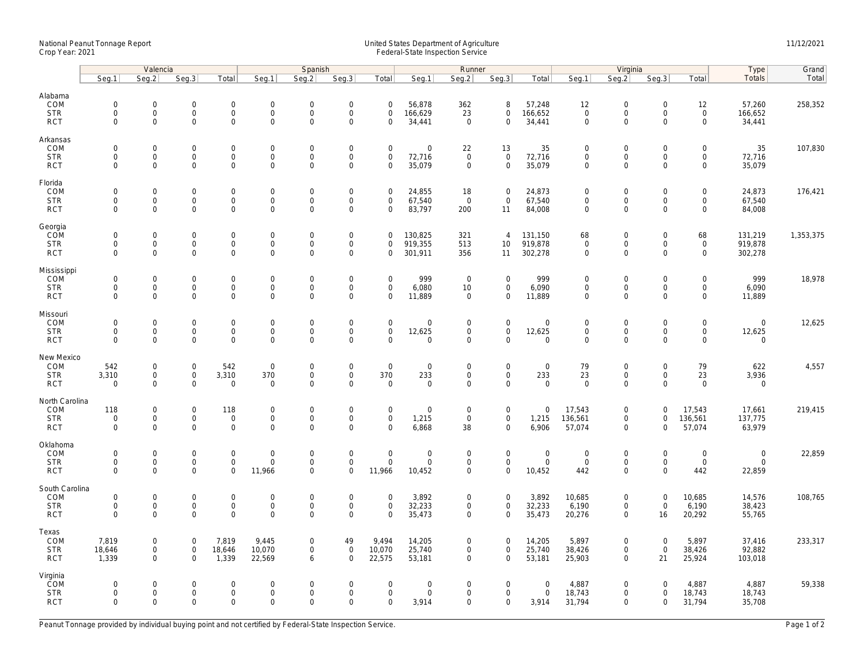## National Peanut Tonnage Report United States Department of Agriculture 11/12/2021<br>Crop Year: 2021 Federal-State Inspection Service

|                                                   | Valencia                                  |                                                                   |                                           |                                                     | Spanish                                     |                                                   |                                                           |                                                   |                                                   | Runner                                    |                                                            |                                         | Virginia                                                  |                                                           |                                           |                                                           | Type                                         | Grand     |
|---------------------------------------------------|-------------------------------------------|-------------------------------------------------------------------|-------------------------------------------|-----------------------------------------------------|---------------------------------------------|---------------------------------------------------|-----------------------------------------------------------|---------------------------------------------------|---------------------------------------------------|-------------------------------------------|------------------------------------------------------------|-----------------------------------------|-----------------------------------------------------------|-----------------------------------------------------------|-------------------------------------------|-----------------------------------------------------------|----------------------------------------------|-----------|
|                                                   | Seg.1                                     | Seg.2                                                             | Seg.3                                     | Total                                               | Seg.1                                       | Seq.2                                             | Seg.3                                                     | Total                                             | Seg.1                                             | Seg.2                                     | Seg.3                                                      | Total                                   | Seg.1                                                     | Seg.2                                                     | Seg.3                                     | Total                                                     | Totals                                       | Total     |
| Alabama<br>COM<br><b>STR</b><br><b>RCT</b>        | $\mathbf 0$<br>$\mathbf 0$<br>$\Omega$    | 0<br>$\mathsf{O}\xspace$<br>$\mathbf{0}$                          | $\mathbf 0$<br>$\mathbf 0$<br>$\mathbf 0$ | $\mathbf 0$<br>$\mathbf 0$<br>$\mathbf{0}$          | $\mathsf{O}$<br>$\mathbf 0$<br>$\mathbf 0$  | $\mathbf 0$<br>$\mathsf 0$<br>$\Omega$            | $\mathsf{O}\xspace$<br>$\mathsf 0$<br>$\Omega$            | $\mathbf 0$<br>$\mathsf 0$<br>$\Omega$            | 56,878<br>166,629<br>34,441                       | 362<br>23<br>$\overline{0}$               | 8<br>$\mathbf 0$<br>$\mathbf{0}$                           | 57,248<br>166,652<br>34,441             | 12<br>$\mathsf{O}\xspace$<br>$\mathbf 0$                  | $\mathbf 0$<br>$\mathsf{O}\xspace$<br>$\Omega$            | $\mathsf 0$<br>$\mathsf 0$<br>$\Omega$    | 12<br>$\mathbf 0$<br>$\mathbf{0}$                         | 57,260<br>166,652<br>34,441                  | 258,352   |
| Arkansas<br>COM<br><b>STR</b><br><b>RCT</b>       | $\mathbf 0$<br>$\mathbf 0$<br>$\mathbf 0$ | $\mathbf{0}$<br>$\mathsf{O}\xspace$<br>$\mathbf 0$                | $\mathbf 0$<br>0<br>$\mathbf 0$           | $\mathbf 0$<br>0<br>$\mathbf 0$                     | $\mathsf{O}$<br>$\mathsf{O}$<br>$\mathbf 0$ | $\mathbf 0$<br>$\mathsf 0$<br>$\mathbf 0$         | $\mathbf 0$<br>$\mathsf{O}\xspace$<br>$\mathbf 0$         | $\mathbf 0$<br>$\mathsf 0$<br>$\Omega$            | $\mathbf 0$<br>72,716<br>35,079                   | 22<br>$\mathsf 0$<br>$\mathbf 0$          | 13<br>$\mathbf 0$<br>$\mathbf 0$                           | 35<br>72,716<br>35,079                  | $\mathbf 0$<br>$\mathsf{O}\xspace$<br>$\mathbf{0}$        | $\mathbf 0$<br>$\mathsf{O}\xspace$<br>$\mathbf 0$         | $\mathbf 0$<br>$\mathbf 0$<br>$\Omega$    | $\mathbf 0$<br>$\mathbf 0$<br>$\mathbf 0$                 | 35<br>72,716<br>35,079                       | 107,830   |
| Florida<br>COM<br><b>STR</b><br><b>RCT</b>        | $\mathbf 0$<br>$\mathbf 0$<br>$\mathbf 0$ | $\mathsf{O}\xspace$<br>$\mathsf{O}\xspace$<br>$\mathbf 0$         | $\mathbf 0$<br>$\mathbf 0$<br>$\mathbf 0$ | $\mathsf{O}\xspace$<br>$\mathbf 0$<br>$\mathbf 0$   | $\mathbf 0$<br>$\mathbf 0$<br>$\mathbf 0$   | $\mathbf 0$<br>$\mathbf 0$<br>$\mathbf 0$         | $\mathsf{O}\xspace$<br>$\mathsf{O}\xspace$<br>$\mathbf 0$ | $\mathbf 0$<br>0<br>$\mathbf 0$                   | 24,855<br>67,540<br>83,797                        | 18<br>$\overline{0}$<br>200               | $\mathsf{O}\xspace$<br>$\mathbf 0$<br>11                   | 24,873<br>67,540<br>84,008              | $\mathbf 0$<br>$\mathbf 0$<br>$\mathsf{O}\xspace$         | $\mathbf 0$<br>$\mathsf{O}\xspace$<br>$\mathbf 0$         | $\mathsf 0$<br>$\mathbf 0$<br>$\mathbf 0$ | $\mathsf{O}\xspace$<br>$\mathsf{O}\xspace$<br>$\mathbf 0$ | 24,873<br>67,540<br>84,008                   | 176,421   |
| Georgia<br>COM<br><b>STR</b><br><b>RCT</b>        | $\mathbf 0$<br>$\mathbf 0$<br>$\mathbf 0$ | $\mathbf 0$<br>$\mathsf{O}\xspace$<br>$\mathbf{0}$                | $\mathbf 0$<br>$\mathbf 0$<br>$\mathbf 0$ | $\mathsf{O}\xspace$<br>$\mathsf{O}$<br>$\mathbf{0}$ | $\mathbf 0$<br>$\mathsf{O}$<br>$\mathbf 0$  | $\mathbf 0$<br>$\mathsf{O}\xspace$<br>$\mathbf 0$ | $\mathsf{O}\xspace$<br>$\mathsf{O}\xspace$<br>$\mathbf 0$ | $\Omega$<br>$\mathbf 0$<br>$\mathbf 0$            | 130,825<br>919,355<br>301,911                     | 321<br>513<br>356                         | $\overline{4}$<br>10 <sup>°</sup><br>11                    | 131,150<br>919,878<br>302,278           | 68<br>$\mathsf{O}\xspace$<br>$\mathbf 0$                  | $\mathsf{O}\xspace$<br>$\mathsf{O}\xspace$<br>$\mathbf 0$ | $\mathbf 0$<br>$\mathbf 0$<br>$\mathbf 0$ | 68<br>$\mathsf 0$<br>$\mathbf 0$                          | 131,219<br>919,878<br>302,278                | 1,353,375 |
| Mississippi<br>COM<br><b>STR</b><br><b>RCT</b>    | $\mathbf 0$<br>$\mathbf 0$<br>$\mathbf 0$ | $\mathbf 0$<br>$\mathsf{O}\xspace$<br>$\mathbf 0$                 | $\mathbf 0$<br>0<br>$\mathbf 0$           | $\mathbf{0}$<br>$\mathsf{O}$<br>$\mathbf 0$         | $\mathbf 0$<br>$\mathsf{O}$<br>$\mathbf 0$  | $\mathbf 0$<br>$\mathsf 0$<br>$\mathbf 0$         | $\mathbf 0$<br>$\mathsf{O}\xspace$<br>$\mathbf 0$         | $\mathbf 0$<br>0<br>$\mathbf 0$                   | 999<br>6,080<br>11,889                            | $\mathbf 0$<br>10<br>0                    | $\mathbf 0$<br>$\mathbf 0$<br>$\mathbf 0$                  | 999<br>6,090<br>11,889                  | $\mathbf 0$<br>$\mathsf{O}\xspace$<br>$\mathsf{O}\xspace$ | $\mathbf 0$<br>$\mathsf{O}\xspace$<br>$\mathbf 0$         | $\Omega$<br>$\mathbf 0$<br>$\mathbf 0$    | $\mathbf 0$<br>$\mathsf{O}$<br>$\mathbf 0$                | 999<br>6,090<br>11,889                       | 18,978    |
| Missouri<br>COM<br><b>STR</b><br><b>RCT</b>       | $\mathbf 0$<br>$\Omega$<br>$\Omega$       | $\mathsf{O}\xspace$<br>0<br>$\mathbf 0$                           | $\mathbf 0$<br>$\mathbf 0$<br>$\mathbf 0$ | $\mathsf{O}\xspace$<br>0<br>$\mathbf 0$             | $\mathbf 0$<br>$\mathbf 0$<br>$\mathbf 0$   | $\mathbf 0$<br>$\mathbf 0$<br>$\mathbf 0$         | $\mathsf{O}\xspace$<br>$\mathsf{O}\xspace$<br>$\mathbf 0$ | $\mathsf 0$<br>$\mathbf 0$<br>$\Omega$            | $\mathsf{O}\xspace$<br>12,625<br>$\mathbf 0$      | $\mathbf 0$<br>$\mathbf 0$<br>$\mathbf 0$ | $\mathsf{O}\xspace$<br>$\mathsf{O}\xspace$<br>$\mathbf{0}$ | $\mathbf 0$<br>12,625<br>$\mathbf 0$    | $\mathbf 0$<br>$\mathbf 0$<br>$\mathbf 0$                 | $\mathsf{O}\xspace$<br>$\mathsf{O}\xspace$<br>$\mathbf 0$ | $\mathbf 0$<br>$\mathbf 0$<br>$\mathbf 0$ | $\mathsf{O}\xspace$<br>$\mathsf{O}\xspace$<br>$\mathbf 0$ | $\mathbf 0$<br>12,625<br>$\mathbf 0$         | 12,625    |
| New Mexico<br>COM<br><b>STR</b><br><b>RCT</b>     | 542<br>3,310<br>$\mathbf 0$               | $\mathsf{O}\xspace$<br>$\mathsf{O}\xspace$<br>$\mathsf{O}\xspace$ | $\mathbf 0$<br>$\mathbf 0$<br>0           | 542<br>3,310<br>$\mathbf 0$                         | $\boldsymbol{0}$<br>370<br>$\mathbf 0$      | $\mathbf 0$<br>$\mathbf 0$<br>$\mathbf 0$         | $\mathsf{O}\xspace$<br>$\mathbf 0$<br>$\mathsf{O}\xspace$ | $\mathsf 0$<br>370<br>$\Omega$                    | $\mathsf{O}\xspace$<br>233<br>$\mathsf{O}\xspace$ | $\mathbf 0$<br>$\mathbf 0$<br>$\Omega$    | $\mathsf{O}\xspace$<br>$\mathbf 0$<br>$\mathsf{O}$         | $\mathbf 0$<br>233<br>$\mathsf 0$       | 79<br>23<br>$\Omega$                                      | $\mathsf{O}\xspace$<br>$\mathbf 0$<br>$\mathsf{O}\xspace$ | $\overline{0}$<br>$\mathbf 0$<br>$\Omega$ | 79<br>23<br>$\mathsf{O}\xspace$                           | 622<br>3,936<br>$\mathbf 0$                  | 4,557     |
| North Carolina<br>COM<br><b>STR</b><br><b>RCT</b> | 118<br>$\mathbf 0$<br>$\mathbf 0$         | 0<br>$\mathsf{O}\xspace$<br>$\mathbf 0$                           | $\mathbf 0$<br>$\mathbf 0$<br>$\mathbf 0$ | 118<br>$\mathbf{0}$<br>$\mathbf{0}$                 | $\mathbf 0$<br>$\mathbf 0$<br>$\mathbf 0$   | $\mathbf 0$<br>$\mathbf 0$<br>$\mathbf 0$         | $\mathsf{O}\xspace$<br>$\mathsf 0$<br>$\Omega$            | $\mathbf 0$<br>$\mathbf 0$<br>$\Omega$            | $\mathbf 0$<br>1,215<br>6,868                     | $\mathbf 0$<br>$\mathbf 0$<br>38          | $\mathsf{O}\xspace$<br>$\mathbf{0}$<br>$\mathbf{0}$        | $\mathsf{O}$<br>1,215<br>6,906          | 17,543<br>136,561<br>57,074                               | $\mathbf 0$<br>$\mathsf{O}$<br>$\mathbf 0$                | $\Omega$<br>$\mathbf 0$<br>$\Omega$       | 17,543<br>136,561<br>57,074                               | 17,661<br>137,775<br>63,979                  | 219,415   |
| Oklahoma<br>COM<br><b>STR</b><br><b>RCT</b>       | $\mathbf 0$<br>$\mathbf 0$<br>$\Omega$    | $\mathbf 0$<br>$\mathsf{O}\xspace$<br>$\mathbf 0$                 | $\mathbf 0$<br>$\mathbf 0$<br>$\mathbf 0$ | $\mathbf{0}$<br>$\mathsf{O}\xspace$<br>$\mathbf 0$  | $\mathbf 0$<br>$\mathsf{O}$<br>11,966       | $\mathbf 0$<br>$\mathbf 0$<br>$\Omega$            | $\mathsf 0$<br>$\mathsf{O}\xspace$<br>$\Omega$            | $\mathbf{0}$<br>$\mathsf 0$<br>11,966             | $\mathbf 0$<br>$\mathsf{O}\xspace$<br>10,452      | $\mathbf 0$<br>$\mathbf 0$<br>$\mathbf 0$ | $\mathbf{0}$<br>$\mathsf{O}\xspace$<br>$\mathbf 0$         | $\mathsf{O}$<br>$\mathsf{O}$<br>10,452  | $\mathbf 0$<br>$\mathsf{O}\xspace$<br>442                 | $\mathbf 0$<br>$\mathsf{O}$<br>$\mathbf 0$                | $\mathbf 0$<br>$\mathbf 0$<br>$\Omega$    | $\mathsf{O}\xspace$<br>$\mathsf{O}\xspace$<br>442         | $\mathbf 0$<br>$\mathsf{O}\xspace$<br>22,859 | 22,859    |
| South Carolina<br>COM<br><b>STR</b><br><b>RCT</b> | $\mathbf 0$<br>$\mathbf 0$<br>$\mathbf 0$ | $\mathsf{O}\xspace$<br>0<br>$\mathbf 0$                           | $\mathbf 0$<br>$\mathbf 0$<br>$\mathbf 0$ | $\mathbf 0$<br>$\boldsymbol{0}$<br>$\mathsf{O}$     | $\mathbf 0$<br>$\mathbf 0$<br>$\mathbf 0$   | $\mathbf 0$<br>$\mathbf 0$<br>$\mathbf 0$         | $\mathsf{O}\xspace$<br>$\mathsf{O}\xspace$<br>$\mathbf 0$ | $\mathbf 0$<br>$\mathbf 0$<br>$\mathbf 0$         | 3,892<br>32,233<br>35,473                         | 0<br>0<br>$\mathbf 0$                     | $\mathbf 0$<br>$\mathbf 0$<br>$\mathbf 0$                  | 3,892<br>32,233<br>35,473               | 10,685<br>6,190<br>20,276                                 | $\mathsf{O}\xspace$<br>$\mathsf{O}\xspace$<br>$\mathbf 0$ | $\mathbf 0$<br>$\mathbf 0$<br>16          | 10,685<br>6,190<br>20,292                                 | 14,576<br>38,423<br>55,765                   | 108,765   |
| Texas<br>COM<br><b>STR</b><br><b>RCT</b>          | 7,819<br>18,646<br>1,339                  | $\mathbf 0$<br>$\mathsf{O}\xspace$<br>$\Omega$                    | $\mathbf 0$<br>$\mathsf 0$<br>$\Omega$    | 7,819<br>18,646<br>1,339                            | 9,445<br>10,070<br>22,569                   | $\mathbf 0$<br>$\mathsf 0$<br>6                   | 49<br>$\mathsf 0$<br>$\Omega$                             | 9,494<br>10,070<br>22,575                         | 14,205<br>25,740<br>53,181                        | 0<br>0<br>$\mathbf 0$                     | $\mathbf 0$<br>$\mathbf 0$<br>$\mathbf 0$                  | 14,205<br>25,740<br>53,181              | 5,897<br>38,426<br>25,903                                 | $\mathbf 0$<br>$\mathsf{O}\xspace$<br>$\mathbf 0$         | $\mathbf 0$<br>$\mathsf 0$<br>21          | 5,897<br>38,426<br>25,924                                 | 37,416<br>92,882<br>103,018                  | 233,317   |
| Virginia<br>COM<br><b>STR</b><br><b>RCT</b>       | $\mathbf 0$<br>$\mathbf 0$<br>$\mathbf 0$ | $\mathbf{0}$<br>$\mathsf{O}\xspace$<br>$\mathbf 0$                | $\mathbf 0$<br>$\mathbf 0$<br>$\mathbf 0$ | $\mathbf 0$<br>$\mathsf{O}\xspace$<br>$\mathbf 0$   | $\mathbf 0$<br>$\mathsf{O}$<br>$\mathbf 0$  | $\mathbf 0$<br>$\mathbf 0$<br>$\Omega$            | $\mathbf 0$<br>$\mathsf{O}\xspace$<br>$\mathbf 0$         | $\mathbf 0$<br>$\mathsf{O}\xspace$<br>$\mathbf 0$ | $\mathbf 0$<br>$\mathsf{O}\xspace$<br>3,914       | 0<br>0<br>0                               | $\mathbf 0$<br>$\mathbf 0$<br>$\mathbf 0$                  | $\overline{0}$<br>$\mathsf{O}$<br>3,914 | 4,887<br>18,743<br>31,794                                 | $\mathbf 0$<br>$\mathsf{O}\xspace$<br>$\mathbf 0$         | $\Omega$<br>$\mathbf 0$<br>$\mathbf 0$    | 4,887<br>18,743<br>31,794                                 | 4,887<br>18,743<br>35,708                    | 59,338    |

Peanut Tonnage provided by individual buying point and not certified by Federal-State Inspection Service. Page 1 of 2